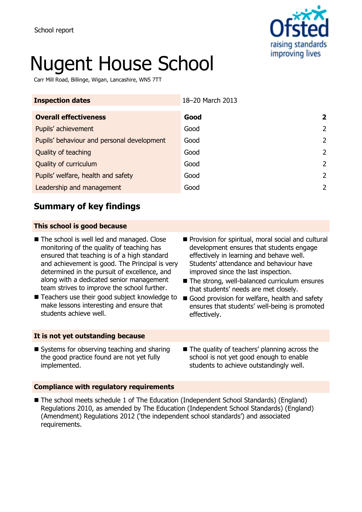

# Nugent House School

Carr Mill Road, Billinge, Wigan, Lancashire, WN5 7TT

| <b>Inspection dates</b>                    | 18-20 March 2013 |                         |
|--------------------------------------------|------------------|-------------------------|
| <b>Overall effectiveness</b>               | Good             | $\overline{\mathbf{2}}$ |
| Pupils' achievement                        | Good             | $\overline{2}$          |
| Pupils' behaviour and personal development | Good             | $\overline{2}$          |
| Quality of teaching                        | Good             | 2                       |
| Quality of curriculum                      | Good             | 2                       |
| Pupils' welfare, health and safety         | Good             | 2                       |
| Leadership and management                  | Good             | 2                       |

## **Summary of key findings**

## **This school is good because**

- The school is well led and managed. Close monitoring of the quality of teaching has ensured that teaching is of a high standard and achievement is good. The Principal is very determined in the pursuit of excellence, and along with a dedicated senior management team strives to improve the school further.
- Teachers use their good subject knowledge to make lessons interesting and ensure that students achieve well.

#### **It is not yet outstanding because**

- **Provision for spiritual, moral social and cultural** development ensures that students engage effectively in learning and behave well. Students' attendance and behaviour have improved since the last inspection.
- The strong, well-balanced curriculum ensures that students' needs are met closely.
- Good provision for welfare, health and safety ensures that students' well-being is promoted effectively.
- Systems for observing teaching and sharing the good practice found are not yet fully implemented.
- The quality of teachers' planning across the school is not yet good enough to enable students to achieve outstandingly well.

## **Compliance with regulatory requirements**

■ The school meets schedule 1 of The Education (Independent School Standards) (England) Regulations 2010, as amended by The Education (Independent School Standards) (England) (Amendment) Regulations 2012 ('the independent school standards') and associated requirements.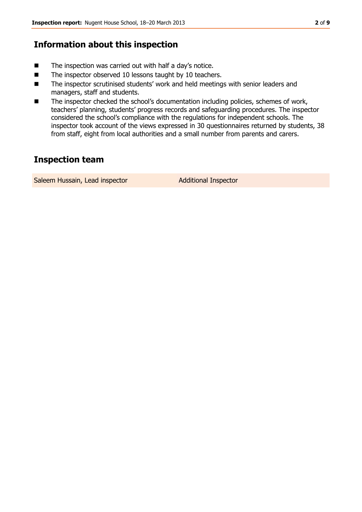## **Information about this inspection**

- The inspection was carried out with half a day's notice.
- The inspector observed 10 lessons taught by 10 teachers.
- The inspector scrutinised students' work and held meetings with senior leaders and managers, staff and students.
- The inspector checked the school's documentation including policies, schemes of work, teachers' planning, students' progress records and safeguarding procedures. The inspector considered the school's compliance with the regulations for independent schools. The inspector took account of the views expressed in 30 questionnaires returned by students, 38 from staff, eight from local authorities and a small number from parents and carers.

## **Inspection team**

Saleem Hussain, Lead inspector **Additional Inspector**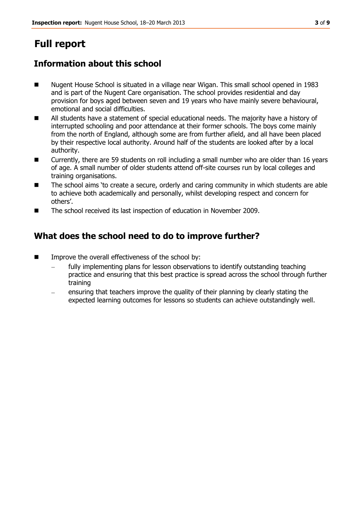# **Full report**

## **Information about this school**

- Nugent House School is situated in a village near Wigan. This small school opened in 1983 and is part of the Nugent Care organisation. The school provides residential and day provision for boys aged between seven and 19 years who have mainly severe behavioural, emotional and social difficulties.
- All students have a statement of special educational needs. The majority have a history of interrupted schooling and poor attendance at their former schools. The boys come mainly from the north of England, although some are from further afield, and all have been placed by their respective local authority. Around half of the students are looked after by a local authority.
- Currently, there are 59 students on roll including a small number who are older than 16 years of age. A small number of older students attend off-site courses run by local colleges and training organisations.
- The school aims 'to create a secure, orderly and caring community in which students are able to achieve both academically and personally, whilst developing respect and concern for others'.
- The school received its last inspection of education in November 2009.

## **What does the school need to do to improve further?**

- **IMPROVE THE OVER IN** effectiveness of the school by:
	- fully implementing plans for lesson observations to identify outstanding teaching practice and ensuring that this best practice is spread across the school through further training
	- ensuring that teachers improve the quality of their planning by clearly stating the expected learning outcomes for lessons so students can achieve outstandingly well.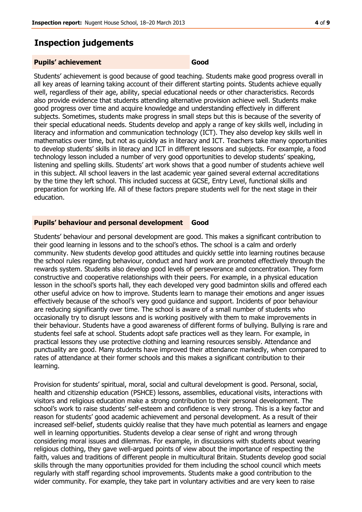## **Inspection judgements**

#### **Pupils' achievement Good**

Students' achievement is good because of good teaching. Students make good progress overall in all key areas of learning taking account of their different starting points. Students achieve equally well, regardless of their age, ability, special educational needs or other characteristics. Records also provide evidence that students attending alternative provision achieve well. Students make good progress over time and acquire knowledge and understanding effectively in different subjects. Sometimes, students make progress in small steps but this is because of the severity of their special educational needs. Students develop and apply a range of key skills well, including in literacy and information and communication technology (ICT). They also develop key skills well in mathematics over time, but not as quickly as in literacy and ICT. Teachers take many opportunities to develop students' skills in literacy and ICT in different lessons and subjects. For example, a food technology lesson included a number of very good opportunities to develop students' speaking, listening and spelling skills. Students' art work shows that a good number of students achieve well in this subject. All school leavers in the last academic year gained several external accreditations by the time they left school. This included success at GCSE, Entry Level, functional skills and preparation for working life. All of these factors prepare students well for the next stage in their education.

#### **Pupils' behaviour and personal development Good**

Students' behaviour and personal development are good. This makes a significant contribution to their good learning in lessons and to the school's ethos. The school is a calm and orderly community. New students develop good attitudes and quickly settle into learning routines because the school rules regarding behaviour, conduct and hard work are promoted effectively through the rewards system. Students also develop good levels of perseverance and concentration. They form constructive and cooperative relationships with their peers. For example, in a physical education lesson in the school's sports hall, they each developed very good badminton skills and offered each other useful advice on how to improve. Students learn to manage their emotions and anger issues effectively because of the school's very good guidance and support. Incidents of poor behaviour are reducing significantly over time. The school is aware of a small number of students who occasionally try to disrupt lessons and is working positively with them to make improvements in their behaviour. Students have a good awareness of different forms of bullying. Bullying is rare and students feel safe at school. Students adopt safe practices well as they learn. For example, in practical lessons they use protective clothing and learning resources sensibly. Attendance and punctuality are good. Many students have improved their attendance markedly, when compared to rates of attendance at their former schools and this makes a significant contribution to their learning.

Provision for students' spiritual, moral, social and cultural development is good. Personal, social, health and citizenship education (PSHCE) lessons, assemblies, educational visits, interactions with visitors and religious education make a strong contribution to their personal development. The school's work to raise students' self-esteem and confidence is very strong. This is a key factor and reason for students' good academic achievement and personal development. As a result of their increased self-belief, students quickly realise that they have much potential as learners and engage well in learning opportunities. Students develop a clear sense of right and wrong through considering moral issues and dilemmas. For example, in discussions with students about wearing religious clothing, they gave well-argued points of view about the importance of respecting the faith, values and traditions of different people in multicultural Britain. Students develop good social skills through the many opportunities provided for them including the school council which meets regularly with staff regarding school improvements. Students make a good contribution to the wider community. For example, they take part in voluntary activities and are very keen to raise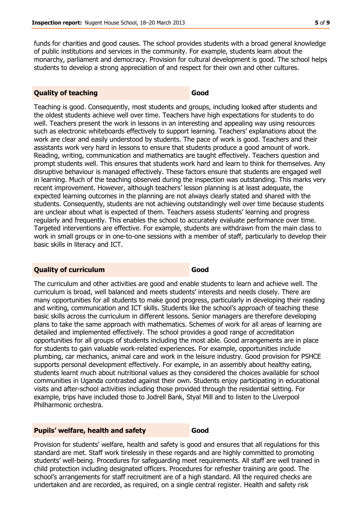funds for charities and good causes. The school provides students with a broad general knowledge of public institutions and services in the community. For example, students learn about the monarchy, parliament and democracy. Provision for cultural development is good. The school helps students to develop a strong appreciation of and respect for their own and other cultures.

#### **Quality of teaching Good**

Teaching is good. Consequently, most students and groups, including looked after students and the oldest students achieve well over time. Teachers have high expectations for students to do well. Teachers present the work in lessons in an interesting and appealing way using resources such as electronic whiteboards effectively to support learning. Teachers' explanations about the work are clear and easily understood by students. The pace of work is good. Teachers and their assistants work very hard in lessons to ensure that students produce a good amount of work. Reading, writing, communication and mathematics are taught effectively. Teachers question and prompt students well. This ensures that students work hard and learn to think for themselves. Any disruptive behaviour is managed effectively. These factors ensure that students are engaged well in learning. Much of the teaching observed during the inspection was outstanding. This marks very recent improvement. However, although teachers' lesson planning is at least adequate, the expected learning outcomes in the planning are not always clearly stated and shared with the students. Consequently, students are not achieving outstandingly well over time because students are unclear about what is expected of them. Teachers assess students' learning and progress regularly and frequently. This enables the school to accurately evaluate performance over time. Targeted interventions are effective. For example, students are withdrawn from the main class to work in small groups or in one-to-one sessions with a member of staff, particularly to develop their basic skills in literacy and ICT.

#### **Quality of curriculum Good**

The curriculum and other activities are good and enable students to learn and achieve well. The curriculum is broad, well balanced and meets students' interests and needs closely. There are many opportunities for all students to make good progress, particularly in developing their reading and writing, communication and ICT skills. Students like the school's approach of teaching these basic skills across the curriculum in different lessons. Senior managers are therefore developing plans to take the same approach with mathematics. Schemes of work for all areas of learning are detailed and implemented effectively. The school provides a good range of accreditation opportunities for all groups of students including the most able. Good arrangements are in place for students to gain valuable work-related experiences. For example, opportunities include plumbing, car mechanics, animal care and work in the leisure industry. Good provision for PSHCE supports personal development effectively. For example, in an assembly about healthy eating, students learnt much about nutritional values as they considered the choices available for school communities in Uganda contrasted against their own. Students enjoy participating in educational visits and after-school activities including those provided through the residential setting. For example, trips have included those to Jodrell Bank, Styal Mill and to listen to the Liverpool Philharmonic orchestra.

#### **Pupils' welfare, health and safety <b>Good**

Provision for students' welfare, health and safety is good and ensures that all regulations for this standard are met. Staff work tirelessly in these regards and are highly committed to promoting students' well-being. Procedures for safeguarding meet requirements. All staff are well trained in child protection including designated officers. Procedures for refresher training are good. The school's arrangements for staff recruitment are of a high standard. All the required checks are undertaken and are recorded, as required, on a single central register. Health and safety risk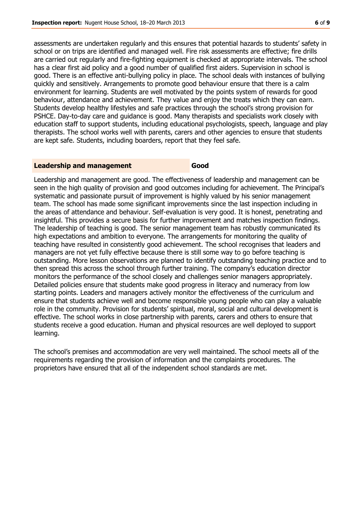assessments are undertaken regularly and this ensures that potential hazards to students' safety in school or on trips are identified and managed well. Fire risk assessments are effective; fire drills are carried out regularly and fire-fighting equipment is checked at appropriate intervals. The school has a clear first aid policy and a good number of qualified first aiders. Supervision in school is good. There is an effective anti-bullying policy in place. The school deals with instances of bullying quickly and sensitively. Arrangements to promote good behaviour ensure that there is a calm environment for learning. Students are well motivated by the points system of rewards for good behaviour, attendance and achievement. They value and enjoy the treats which they can earn. Students develop healthy lifestyles and safe practices through the school's strong provision for PSHCE. Day-to-day care and guidance is good. Many therapists and specialists work closely with education staff to support students, including educational psychologists, speech, language and play therapists. The school works well with parents, carers and other agencies to ensure that students are kept safe. Students, including boarders, report that they feel safe.

#### **Leadership and management Good**

Leadership and management are good. The effectiveness of leadership and management can be seen in the high quality of provision and good outcomes including for achievement. The Principal's systematic and passionate pursuit of improvement is highly valued by his senior management team. The school has made some significant improvements since the last inspection including in the areas of attendance and behaviour. Self-evaluation is very good. It is honest, penetrating and insightful. This provides a secure basis for further improvement and matches inspection findings. The leadership of teaching is good. The senior management team has robustly communicated its high expectations and ambition to everyone. The arrangements for monitoring the quality of teaching have resulted in consistently good achievement. The school recognises that leaders and managers are not yet fully effective because there is still some way to go before teaching is outstanding. More lesson observations are planned to identify outstanding teaching practice and to then spread this across the school through further training. The company's education director monitors the performance of the school closely and challenges senior managers appropriately. Detailed policies ensure that students make good progress in literacy and numeracy from low starting points. Leaders and managers actively monitor the effectiveness of the curriculum and ensure that students achieve well and become responsible young people who can play a valuable role in the community. Provision for students' spiritual, moral, social and cultural development is effective. The school works in close partnership with parents, carers and others to ensure that students receive a good education. Human and physical resources are well deployed to support learning.

The school's premises and accommodation are very well maintained. The school meets all of the requirements regarding the provision of information and the complaints procedures. The proprietors have ensured that all of the independent school standards are met.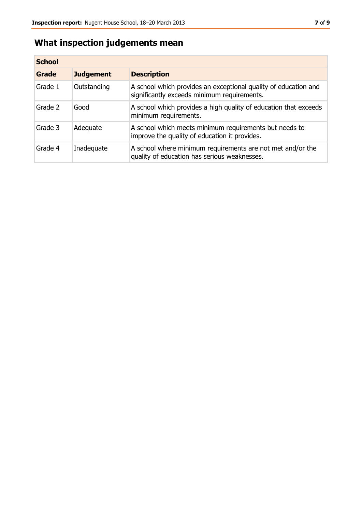## **What inspection judgements mean**

| <b>School</b> |                  |                                                                                                                |
|---------------|------------------|----------------------------------------------------------------------------------------------------------------|
| Grade         | <b>Judgement</b> | <b>Description</b>                                                                                             |
| Grade 1       | Outstanding      | A school which provides an exceptional quality of education and<br>significantly exceeds minimum requirements. |
| Grade 2       | Good             | A school which provides a high quality of education that exceeds<br>minimum requirements.                      |
| Grade 3       | Adequate         | A school which meets minimum requirements but needs to<br>improve the quality of education it provides.        |
| Grade 4       | Inadequate       | A school where minimum requirements are not met and/or the<br>quality of education has serious weaknesses.     |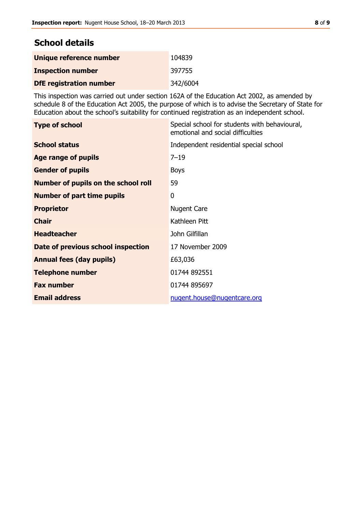## **School details**

| Unique reference number        | 104839   |
|--------------------------------|----------|
| <b>Inspection number</b>       | 397755   |
| <b>DfE registration number</b> | 342/6004 |

This inspection was carried out under section 162A of the Education Act 2002, as amended by schedule 8 of the Education Act 2005, the purpose of which is to advise the Secretary of State for Education about the school's suitability for continued registration as an independent school.

| <b>Type of school</b>                      | Special school for students with behavioural,<br>emotional and social difficulties |
|--------------------------------------------|------------------------------------------------------------------------------------|
| <b>School status</b>                       | Independent residential special school                                             |
| Age range of pupils                        | $7 - 19$                                                                           |
| <b>Gender of pupils</b>                    | <b>Boys</b>                                                                        |
| <b>Number of pupils on the school roll</b> | 59                                                                                 |
| <b>Number of part time pupils</b>          | 0                                                                                  |
| <b>Proprietor</b>                          | <b>Nugent Care</b>                                                                 |
| <b>Chair</b>                               | Kathleen Pitt                                                                      |
| <b>Headteacher</b>                         | John Gilfillan                                                                     |
| Date of previous school inspection         | 17 November 2009                                                                   |
| <b>Annual fees (day pupils)</b>            | £63,036                                                                            |
| <b>Telephone number</b>                    | 01744 892551                                                                       |
| <b>Fax number</b>                          | 01744 895697                                                                       |
| <b>Email address</b>                       | nugent.house@nugentcare.org                                                        |